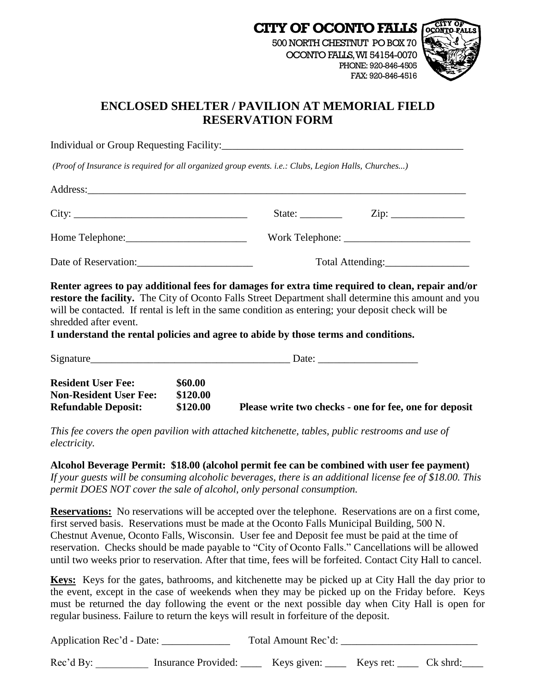

# **ENCLOSED SHELTER / PAVILION AT MEMORIAL FIELD RESERVATION FORM**

Individual or Group Requesting Facility:

*(Proof of Insurance is required for all organized group events. i.e.: Clubs, Legion Halls, Churches...)*

| City:                | State: $\qquad \qquad$ |  |  |
|----------------------|------------------------|--|--|
|                      |                        |  |  |
| Date of Reservation: | Total Attending: 1997  |  |  |

**Renter agrees to pay additional fees for damages for extra time required to clean, repair and/or restore the facility.** The City of Oconto Falls Street Department shall determine this amount and you will be contacted. If rental is left in the same condition as entering; your deposit check will be shredded after event.

**I understand the rental policies and agree to abide by those terms and conditions.**

| Signature                                                                                |                                 | Date:                                                  |  |
|------------------------------------------------------------------------------------------|---------------------------------|--------------------------------------------------------|--|
| <b>Resident User Fee:</b><br><b>Non-Resident User Fee:</b><br><b>Refundable Deposit:</b> | \$60.00<br>\$120.00<br>\$120.00 | Please write two checks - one for fee, one for deposit |  |

*This fee covers the open pavilion with attached kitchenette, tables, public restrooms and use of electricity.* 

**Alcohol Beverage Permit: \$18.00 (alcohol permit fee can be combined with user fee payment)** *If your guests will be consuming alcoholic beverages, there is an additional license fee of \$18.00. This permit DOES NOT cover the sale of alcohol, only personal consumption.* 

**Reservations:** No reservations will be accepted over the telephone. Reservations are on a first come, first served basis. Reservations must be made at the Oconto Falls Municipal Building, 500 N. Chestnut Avenue, Oconto Falls, Wisconsin. User fee and Deposit fee must be paid at the time of reservation. Checks should be made payable to "City of Oconto Falls." Cancellations will be allowed until two weeks prior to reservation. After that time, fees will be forfeited. Contact City Hall to cancel.

**Keys:** Keys for the gates, bathrooms, and kitchenette may be picked up at City Hall the day prior to the event, except in the case of weekends when they may be picked up on the Friday before. Keys must be returned the day following the event or the next possible day when City Hall is open for regular business. Failure to return the keys will result in forfeiture of the deposit.

| Application Rec'd - Date: |                     | Total Amount Rec'd: |                           |            |
|---------------------------|---------------------|---------------------|---------------------------|------------|
| Rec'dBy:                  | Insurance Provided: | Keys given:         | Keys ret: $\qquad \qquad$ | $Ck$ shrd: |